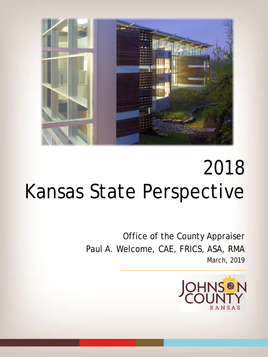

Office of the County Appraiser Paul A. Welcome, CAE, FRICS, ASA, RMA March, 2019

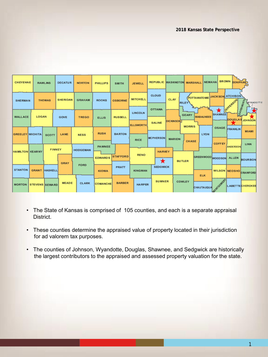| CHEYENNE               |                                 | <b>RAWLINS</b> | <b>DECATUR</b>  | <b>NORTON</b>   | <b>PHILLIPS</b>          | <b>SMITH</b>    | <b>JEWELL</b>                   | <b>REPUBLIC</b>                | <b>WASHINGTON MARSHALL</b>              | <b>NEMAHA</b>            | BROWN DONIPHANCE                                         |                                  |
|------------------------|---------------------------------|----------------|-----------------|-----------------|--------------------------|-----------------|---------------------------------|--------------------------------|-----------------------------------------|--------------------------|----------------------------------------------------------|----------------------------------|
|                        | <b>THOMAS</b><br><b>SHERMAN</b> |                | <b>SHERIDAN</b> | <b>GRAHAM</b>   | <b>ROOKS</b>             | <b>OSBORNE</b>  | <b>MITCHELL</b>                 | <b>CLOUD</b>                   | <b>CLAY</b><br><b>RILEY</b>             |                          | <b>POTTAWATOMIE JACKSON ATCHISON</b><br><b>VEFFERSON</b> | <b>HYDRY</b><br><b>WYANDOTTE</b> |
| <b>WALLACE</b>         | LOGAN                           |                | GOVE            | <b>TREGO</b>    | <b>ELLIS</b>             | <b>RUSSELL</b>  | <b>LINCOLN</b>                  | <b>OTTAWA</b><br><b>SALINE</b> | <b>GEARY</b><br>DICKINSONT              | <b>WAB AUNSEE</b>        | EAVEN<br>Х<br><b>SHAWNEE</b>                             | ₽<br>DOUGLAS JOHNSON             |
| <b>GREELEY WICHITA</b> |                                 | SCOTT          | LANE            | <b>NESS</b>     | <b>RUSH</b>              | <b>BARTON</b>   | <b>ELLSWORTH</b><br><b>RICE</b> | <b>MCPHERSON</b>               | <b>MORRIS</b><br><b>MARION</b><br>CHASE | <b>LYON</b>              | <b>OSAGE FRANKLIN</b>                                    | <b>MLAML</b>                     |
| <b>HAMILTON KEARNY</b> |                                 | <b>FINNEY</b>  |                 | <b>HODGEMAN</b> | PAWNEE<br><b>EDWARDS</b> | <b>STAFFORD</b> | <b>RENO</b>                     | <b>HARVEY</b>                  |                                         |                          | <b>COFFEY</b><br>ANDERSON<br>GREENWOOD WOODSON ALLEN     | LINN                             |
| <b>STANTON</b>         | <b>GRANT</b>                    | HASKELL        | <b>GRAY</b>     | FORD            | <b>KIOWA</b>             | <b>PRATT</b>    | <b>KINGMAN</b>                  | $\star$<br><b>SEDGWICK</b>     | <b>BUTLER</b>                           |                          | WILSON NEOSHO CRAWFORD                                   | <b>BOURBON</b>                   |
| <b>MORTON</b>          | <b>STEVENS SEWARD</b>           |                | <b>MEADE</b>    | <b>CLARK</b>    | <b>COMANCHE</b>          | <b>BARBER</b>   | <b>HARPER</b>                   | <b>SUMNER</b>                  | COWLEY                                  | <b>ELK</b><br>CHAUTAUQUA | MONTGOMERY                                               | <b>LABETTECHEROKEE</b>           |

- The State of Kansas is comprised of 105 counties, and each is a separate appraisal District.
- These counties determine the appraised value of property located in their jurisdiction for ad valorem tax purposes.
- The counties of Johnson, Wyandotte, Douglas, Shawnee, and Sedgwick are historically the largest contributors to the appraised and assessed property valuation for the state.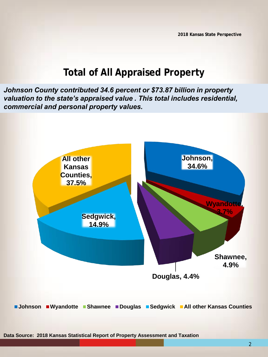#### **Total of All Appraised Property**

*Johnson County contributed 34.6 percent or \$73.87 billion in property valuation to the state's appraised value . This total includes residential, commercial and personal property values.*

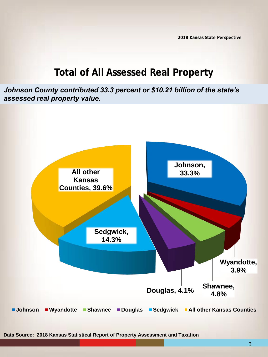#### **Total of All Assessed Real Property**

*Johnson County contributed 33.3 percent or \$10.21 billion of the state's assessed real property value.* 



3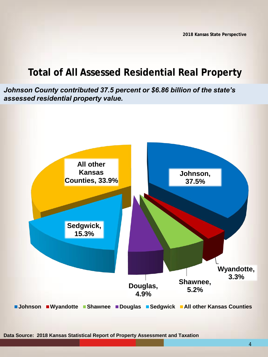#### **Total of All Assessed Residential Real Property**

*Johnson County contributed 37.5 percent or \$6.86 billion of the state's assessed residential property value.* 



**Data Source: 2018 Kansas Statistical Report of Property Assessment and Taxation**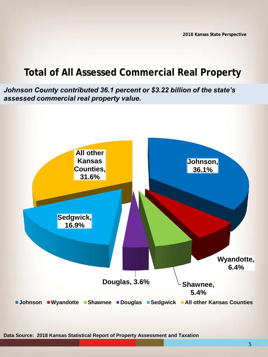## **Total of All Assessed Commercial Real Property**

*Johnson County contributed 36.1 percent or \$3.22 billion of the state's assessed commercial real property value.* 



**Data Source: 2018 Kansas Statistical Report of Property Assessment and Taxation** 

5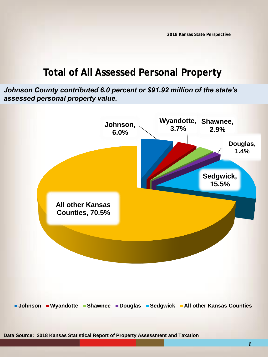### **Total of All Assessed Personal Property**

*Johnson County contributed 6.0 percent or \$91.92 million of the state's assessed personal property value.* 



**Data Source: 2018 Kansas Statistical Report of Property Assessment and Taxation**